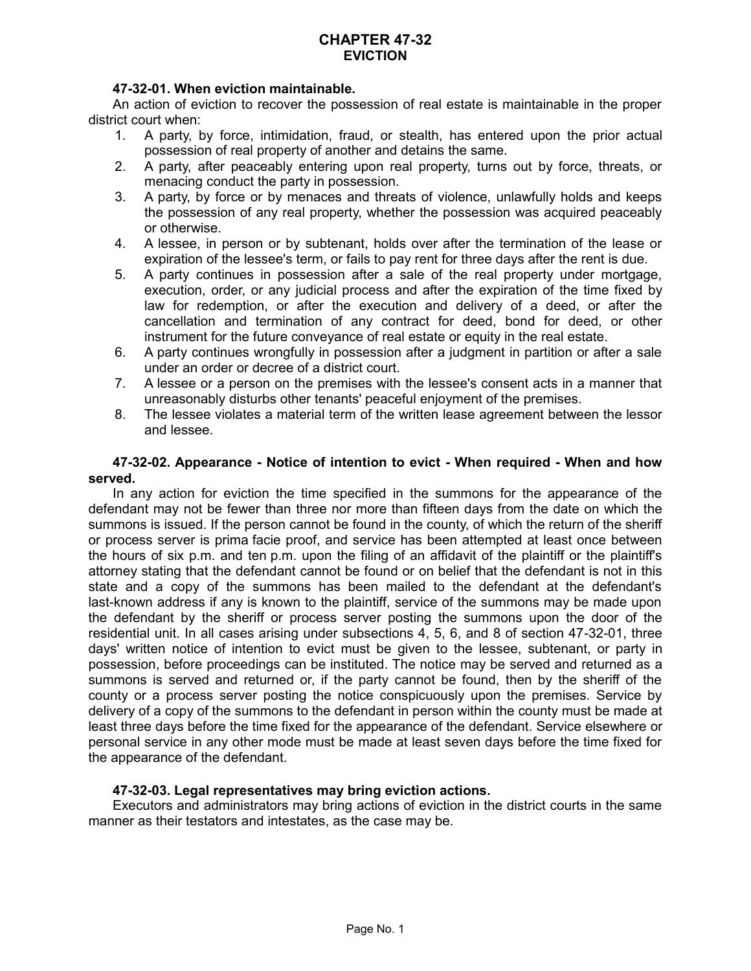## **47-32-01. When eviction maintainable.**

An action of eviction to recover the possession of real estate is maintainable in the proper district court when:

- 1. A party, by force, intimidation, fraud, or stealth, has entered upon the prior actual possession of real property of another and detains the same.
- 2. A party, after peaceably entering upon real property, turns out by force, threats, or menacing conduct the party in possession.
- 3. A party, by force or by menaces and threats of violence, unlawfully holds and keeps the possession of any real property, whether the possession was acquired peaceably or otherwise.
- 4. A lessee, in person or by subtenant, holds over after the termination of the lease or expiration of the lessee's term, or fails to pay rent for three days after the rent is due.
- 5. A party continues in possession after a sale of the real property under mortgage, execution, order, or any judicial process and after the expiration of the time fixed by law for redemption, or after the execution and delivery of a deed, or after the cancellation and termination of any contract for deed, bond for deed, or other instrument for the future conveyance of real estate or equity in the real estate.
- 6. A party continues wrongfully in possession after a judgment in partition or after a sale under an order or decree of a district court.
- 7. A lessee or a person on the premises with the lessee's consent acts in a manner that unreasonably disturbs other tenants' peaceful enjoyment of the premises.
- 8. The lessee violates a material term of the written lease agreement between the lessor and lessee.

## **47-32-02. Appearance - Notice of intention to evict - When required - When and how served.**

In any action for eviction the time specified in the summons for the appearance of the defendant may not be fewer than three nor more than fifteen days from the date on which the summons is issued. If the person cannot be found in the county, of which the return of the sheriff or process server is prima facie proof, and service has been attempted at least once between the hours of six p.m. and ten p.m. upon the filing of an affidavit of the plaintiff or the plaintiff's attorney stating that the defendant cannot be found or on belief that the defendant is not in this state and a copy of the summons has been mailed to the defendant at the defendant's last-known address if any is known to the plaintiff, service of the summons may be made upon the defendant by the sheriff or process server posting the summons upon the door of the residential unit. In all cases arising under subsections 4, 5, 6, and 8 of section 47-32-01, three days' written notice of intention to evict must be given to the lessee, subtenant, or party in possession, before proceedings can be instituted. The notice may be served and returned as a summons is served and returned or, if the party cannot be found, then by the sheriff of the county or a process server posting the notice conspicuously upon the premises. Service by delivery of a copy of the summons to the defendant in person within the county must be made at least three days before the time fixed for the appearance of the defendant. Service elsewhere or personal service in any other mode must be made at least seven days before the time fixed for the appearance of the defendant.

## **47-32-03. Legal representatives may bring eviction actions.**

Executors and administrators may bring actions of eviction in the district courts in the same manner as their testators and intestates, as the case may be.